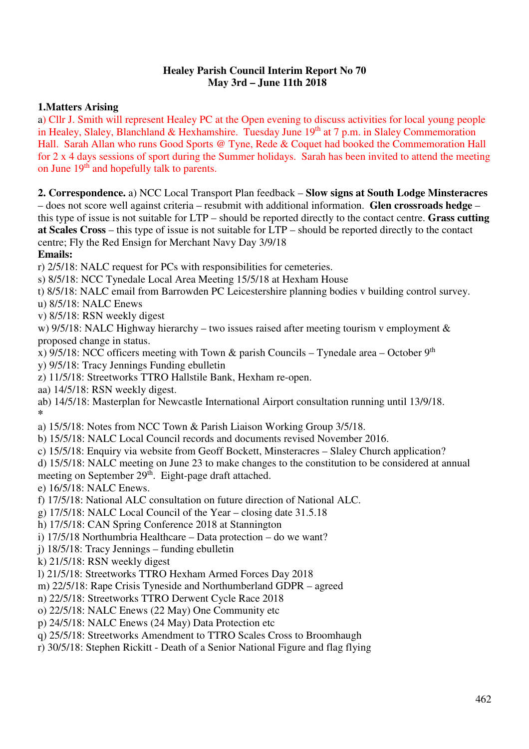### **Healey Parish Council Interim Report No 70 May 3rd – June 11th 2018**

# **1.Matters Arising**

a) Cllr J. Smith will represent Healey PC at the Open evening to discuss activities for local young people in Healey, Slaley, Blanchland & Hexhamshire. Tuesday June 19<sup>th</sup> at 7 p.m. in Slaley Commemoration Hall. Sarah Allan who runs Good Sports @ Tyne, Rede & Coquet had booked the Commemoration Hall for 2 x 4 days sessions of sport during the Summer holidays. Sarah has been invited to attend the meeting on June 19<sup>th</sup> and hopefully talk to parents.

**2. Correspondence.** a) NCC Local Transport Plan feedback – **Slow signs at South Lodge Minsteracres** – does not score well against criteria – resubmit with additional information. **Glen crossroads hedge** – this type of issue is not suitable for LTP – should be reported directly to the contact centre. **Grass cutting at Scales Cross** – this type of issue is not suitable for LTP – should be reported directly to the contact centre; Fly the Red Ensign for Merchant Navy Day 3/9/18

## **Emails:**

r) 2/5/18: NALC request for PCs with responsibilities for cemeteries.

s) 8/5/18: NCC Tynedale Local Area Meeting 15/5/18 at Hexham House

t) 8/5/18: NALC email from Barrowden PC Leicestershire planning bodies v building control survey.

u) 8/5/18: NALC Enews

v) 8/5/18: RSN weekly digest

w) 9/5/18: NALC Highway hierarchy – two issues raised after meeting tourism v employment & proposed change in status.

x) 9/5/18: NCC officers meeting with Town & parish Councils – Tynedale area – October  $9<sup>th</sup>$ 

y) 9/5/18: Tracy Jennings Funding ebulletin

- z) 11/5/18: Streetworks TTRO Hallstile Bank, Hexham re-open.
- aa) 14/5/18: RSN weekly digest.

ab) 14/5/18: Masterplan for Newcastle International Airport consultation running until 13/9/18. **\*** 

- a) 15/5/18: Notes from NCC Town & Parish Liaison Working Group 3/5/18.
- b) 15/5/18: NALC Local Council records and documents revised November 2016.
- c) 15/5/18: Enquiry via website from Geoff Bockett, Minsteracres Slaley Church application?

d) 15/5/18: NALC meeting on June 23 to make changes to the constitution to be considered at annual meeting on September 29<sup>th</sup>. Eight-page draft attached.

e) 16/5/18: NALC Enews.

- f) 17/5/18: National ALC consultation on future direction of National ALC.
- g) 17/5/18: NALC Local Council of the Year closing date 31.5.18

h) 17/5/18: CAN Spring Conference 2018 at Stannington

- i) 17/5/18 Northumbria Healthcare Data protection do we want?
- j) 18/5/18: Tracy Jennings funding ebulletin
- k) 21/5/18: RSN weekly digest
- l) 21/5/18: Streetworks TTRO Hexham Armed Forces Day 2018
- m) 22/5/18: Rape Crisis Tyneside and Northumberland GDPR agreed
- n) 22/5/18: Streetworks TTRO Derwent Cycle Race 2018
- o) 22/5/18: NALC Enews (22 May) One Community etc
- p) 24/5/18: NALC Enews (24 May) Data Protection etc
- q) 25/5/18: Streetworks Amendment to TTRO Scales Cross to Broomhaugh
- r) 30/5/18: Stephen Rickitt Death of a Senior National Figure and flag flying